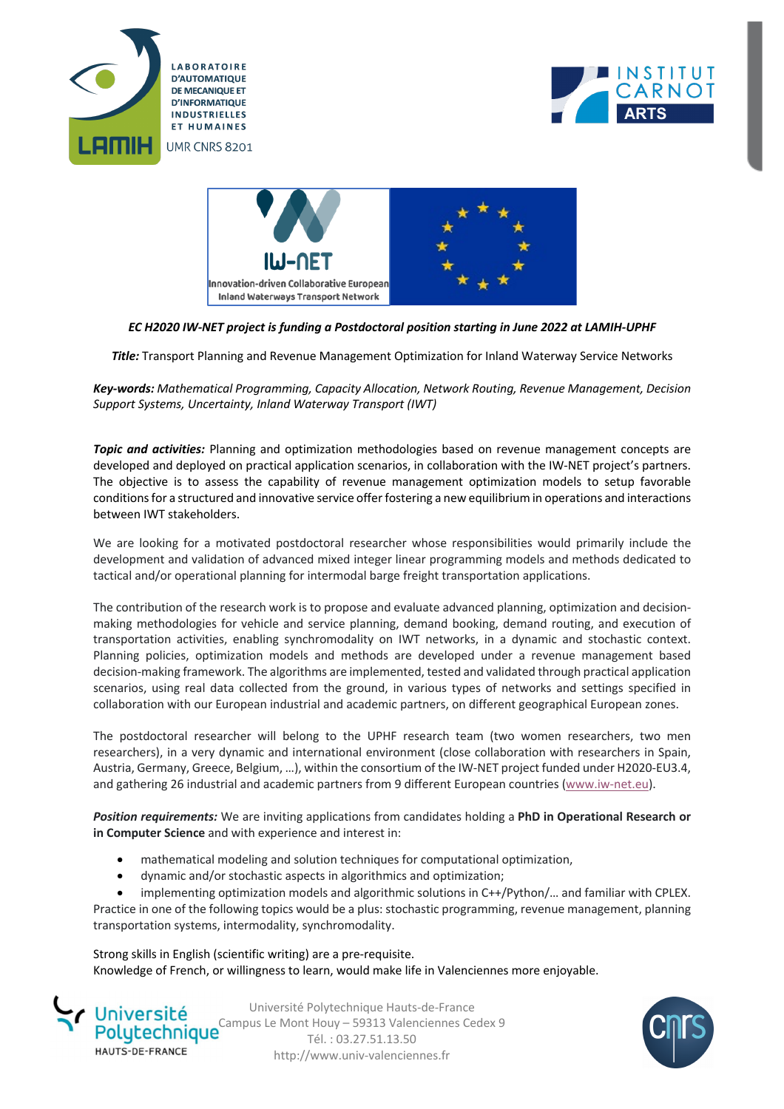





## *EC H2020 IW-NET project is funding a Postdoctoral position starting in June 2022 at LAMIH-UPHF*

*Title:* Transport Planning and Revenue Management Optimization for Inland Waterway Service Networks

*Key-words: Mathematical Programming, Capacity Allocation, Network Routing, Revenue Management, Decision Support Systems, Uncertainty, Inland Waterway Transport (IWT)*

*Topic and activities:* Planning and optimization methodologies based on revenue management concepts are developed and deployed on practical application scenarios, in collaboration with the IW-NET project's partners. The objective is to assess the capability of revenue management optimization models to setup favorable conditions for a structured and innovative service offer fostering a new equilibrium in operations and interactions between IWT stakeholders.

We are looking for a motivated postdoctoral researcher whose responsibilities would primarily include the development and validation of advanced mixed integer linear programming models and methods dedicated to tactical and/or operational planning for intermodal barge freight transportation applications.

The contribution of the research work is to propose and evaluate advanced planning, optimization and decisionmaking methodologies for vehicle and service planning, demand booking, demand routing, and execution of transportation activities, enabling synchromodality on IWT networks, in a dynamic and stochastic context. Planning policies, optimization models and methods are developed under a revenue management based decision-making framework. The algorithms are implemented, tested and validated through practical application scenarios, using real data collected from the ground, in various types of networks and settings specified in collaboration with our European industrial and academic partners, on different geographical European zones.

The postdoctoral researcher will belong to the UPHF research team (two women researchers, two men researchers), in a very dynamic and international environment (close collaboration with researchers in Spain, Austria, Germany, Greece, Belgium, …), within the consortium of the IW-NET project funded under H2020-EU3.4, and gathering 26 industrial and academic partners from 9 different European countries (www.iw-net.eu).

*Position requirements:* We are inviting applications from candidates holding a **PhD in Operational Research or in Computer Science** and with experience and interest in:

- mathematical modeling and solution techniques for computational optimization,
- dynamic and/or stochastic aspects in algorithmics and optimization;
- implementing optimization models and algorithmic solutions in C++/Python/… and familiar with CPLEX.

Practice in one of the following topics would be a plus: stochastic programming, revenue management, planning transportation systems, intermodality, synchromodality.

Strong skills in English (scientific writing) are a pre-requisite. Knowledge of French, or willingness to learn, would make life in Valenciennes more enjoyable.



Université Polytechnique Hauts-de-France Polytechnique<sup>Campus</sup> Le Mont Houy – 59313 Valenciennes Cedex 9 Tél. : 03.27.51.13.50 http://www.univ-valenciennes.fr